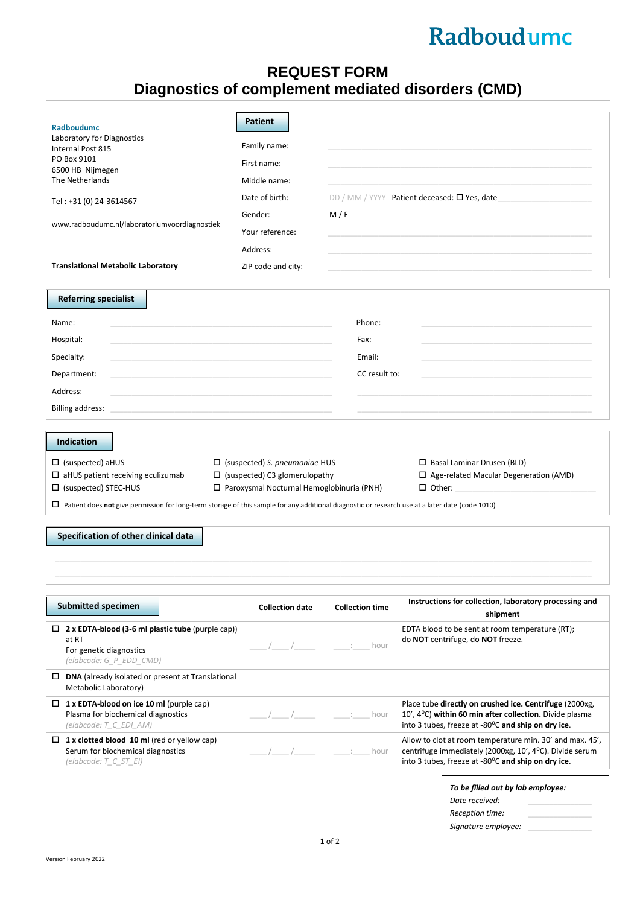## Radboudumc

## **REQUEST FORM Diagnostics of complement mediated disorders (CMD)**

| <b>Radboudumc</b><br>Laboratory for Diagnostics<br>Internal Post 815<br>PO Box 9101<br>6500 HB Nijmegen<br>The Netherlands<br>Tel: +31 (0) 24-3614567<br>www.radboudumc.nl/laboratoriumvoordiagnostiek<br><b>Translational Metabolic Laboratory</b>                                                                                                                                                                                                                                                                                                                  | <b>Patient</b><br>Family name:<br>First name:<br>Middle name:<br>Date of birth:<br>Gender:<br>Your reference:<br>Address:<br>ZIP code and city: | M/F                                       | DD / MM / YYYY Patient deceased: O Yes, date                                                                                                                              |  |  |  |
|----------------------------------------------------------------------------------------------------------------------------------------------------------------------------------------------------------------------------------------------------------------------------------------------------------------------------------------------------------------------------------------------------------------------------------------------------------------------------------------------------------------------------------------------------------------------|-------------------------------------------------------------------------------------------------------------------------------------------------|-------------------------------------------|---------------------------------------------------------------------------------------------------------------------------------------------------------------------------|--|--|--|
| <b>Referring specialist</b><br>Name:<br>Hospital:<br>Specialty:<br>Department:<br>Address:<br>Billing address:                                                                                                                                                                                                                                                                                                                                                                                                                                                       |                                                                                                                                                 | Phone:<br>Fax:<br>Email:<br>CC result to: |                                                                                                                                                                           |  |  |  |
| <b>Indication</b><br>$\Box$ (suspected) aHUS<br>$\Box$ (suspected) S. pneumoniae HUS<br>$\Box$ Basal Laminar Drusen (BLD)<br>$\Box$ aHUS patient receiving eculizumab<br>$\Box$ (suspected) C3 glomerulopathy<br>$\Box$ Age-related Macular Degeneration (AMD)<br>$\Box$ (suspected) STEC-HUS<br>$\Box$ Paroxysmal Nocturnal Hemoglobinuria (PNH)<br>$\Box$ Other:<br>$\Box$ Patient does not give permission for long-term storage of this sample for any additional diagnostic or research use at a later date (code 1010)<br>Specification of other clinical data |                                                                                                                                                 |                                           |                                                                                                                                                                           |  |  |  |
| <b>Submitted specimen</b>                                                                                                                                                                                                                                                                                                                                                                                                                                                                                                                                            | <b>Collection date</b>                                                                                                                          | <b>Collection time</b>                    | Instructions for collection, laboratory processing and<br>shipment                                                                                                        |  |  |  |
| $\Box$ 2 x EDTA-blood (3-6 ml plastic tube (purple cap))<br>at RT<br>For genetic diagnostics<br>(elabcode: G_P_EDD_CMD)                                                                                                                                                                                                                                                                                                                                                                                                                                              |                                                                                                                                                 | hour                                      | EDTA blood to be sent at room temperature (RT);<br>do NOT centrifuge, do NOT freeze.                                                                                      |  |  |  |
| $\Box$ DNA (already isolated or present at Translational<br>Metabolic Laboratory)<br>$\Box$ 1 x EDTA-blood on ice 10 ml (purple cap)<br>Plasma for biochemical diagnostics<br>(elabcode: T_C_EDI_AM)                                                                                                                                                                                                                                                                                                                                                                 |                                                                                                                                                 | hour                                      | Place tube directly on crushed ice. Centrifuge (2000xg,<br>10', 4°C) within 60 min after collection. Divide plasma<br>into 3 tubes, freeze at -80°C and ship on dry ice.  |  |  |  |
| $\Box$ 1 x clotted blood 10 ml (red or yellow cap)<br>Serum for biochemical diagnostics<br>$\text{(elabcode: } T_C \text{ST} El \text{)}$                                                                                                                                                                                                                                                                                                                                                                                                                            |                                                                                                                                                 | hour                                      | Allow to clot at room temperature min. 30' and max. 45',<br>centrifuge immediately (2000xg, 10', 4°C). Divide serum<br>into 3 tubes, freeze at -80°C and ship on dry ice. |  |  |  |
|                                                                                                                                                                                                                                                                                                                                                                                                                                                                                                                                                                      |                                                                                                                                                 | $10f$ 2                                   | To be filled out by lab employee:<br>Date received:<br>Reception time:<br>Signature employee:                                                                             |  |  |  |